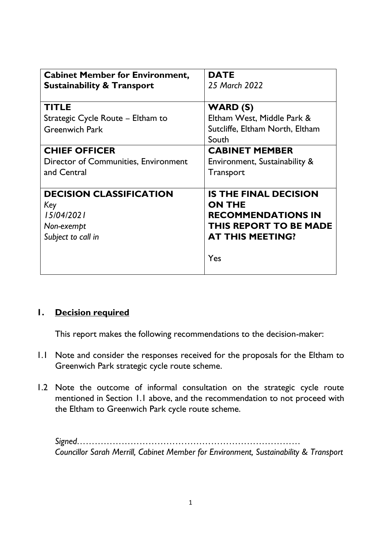| <b>Cabinet Member for Environment,</b> | <b>DATE</b>                     |
|----------------------------------------|---------------------------------|
| <b>Sustainability &amp; Transport</b>  | 25 March 2022                   |
| <b>TITLE</b>                           | <b>WARD (S)</b>                 |
| Strategic Cycle Route – Eltham to      | Eltham West, Middle Park &      |
| <b>Greenwich Park</b>                  | Sutcliffe, Eltham North, Eltham |
|                                        | South                           |
| <b>CHIEF OFFICER</b>                   | <b>CABINET MEMBER</b>           |
| Director of Communities, Environment   | Environment, Sustainability &   |
| and Central                            | <b>Transport</b>                |
|                                        |                                 |
| <b>DECISION CLASSIFICATION</b>         | <b>IS THE FINAL DECISION</b>    |
| Key                                    | <b>ON THE</b>                   |
| 15/04/2021                             | <b>RECOMMENDATIONS IN</b>       |
| Non-exempt                             | <b>THIS REPORT TO BE MADE</b>   |
| Subject to call in                     | <b>AT THIS MEETING?</b>         |
|                                        | Yes                             |
|                                        |                                 |
|                                        |                                 |

### **1. Decision required**

This report makes the following recommendations to the decision-maker:

- 1.1 Note and consider the responses received for the proposals for the Eltham to Greenwich Park strategic cycle route scheme.
- 1.2 Note the outcome of informal consultation on the strategic cycle route mentioned in Section 1.1 above, and the recommendation to not proceed with the Eltham to Greenwich Park cycle route scheme.

*Signed………………………………………………………………… Councillor Sarah Merrill, Cabinet Member for Environment, Sustainability & Transport*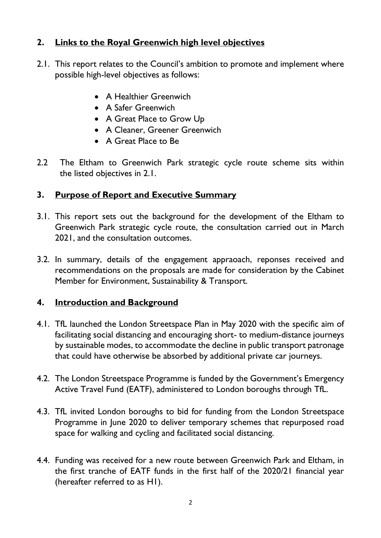# **2. Links to the Royal Greenwich high level objectives**

- 2.1. This report relates to the Council's ambition to promote and implement where possible high-level objectives as follows:
	- A Healthier Greenwich
	- A Safer Greenwich
	- A Great Place to Grow Up
	- A Cleaner, Greener Greenwich
	- A Great Place to Be
- 2.2 The Eltham to Greenwich Park strategic cycle route scheme sits within the listed objectives in 2.1.

### **3. Purpose of Report and Executive Summary**

- 3.1. This report sets out the background for the development of the Eltham to Greenwich Park strategic cycle route, the consultation carried out in March 2021, and the consultation outcomes.
- 3.2. In summary, details of the engagement appraoach, reponses received and recommendations on the proposals are made for consideration by the Cabinet Member for Environment, Sustainability & Transport.

### **4. Introduction and Background**

- 4.1. TfL launched the London Streetspace Plan in May 2020 with the specific aim of facilitating social distancing and encouraging short- to medium-distance journeys by sustainable modes, to accommodate the decline in public transport patronage that could have otherwise be absorbed by additional private car journeys.
- 4.2. The London Streetspace Programme is funded by the Government's Emergency Active Travel Fund (EATF), administered to London boroughs through TfL.
- 4.3. TfL invited London boroughs to bid for funding from the London Streetspace Programme in June 2020 to deliver temporary schemes that repurposed road space for walking and cycling and facilitated social distancing.
- 4.4. Funding was received for a new route between Greenwich Park and Eltham, in the first tranche of EATF funds in the first half of the 2020/21 financial year (hereafter referred to as H1).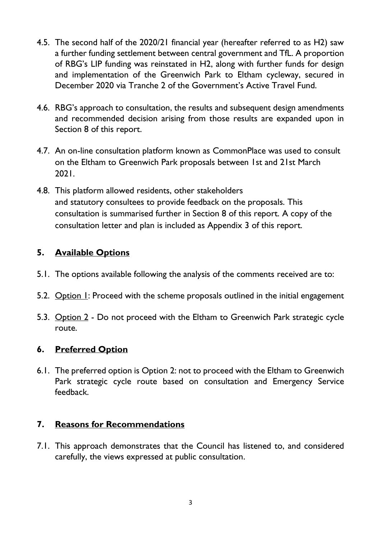- 4.5. The second half of the 2020/21 financial year (hereafter referred to as H2) saw a further funding settlement between central government and TfL. A proportion of RBG's LIP funding was reinstated in H2, along with further funds for design and implementation of the Greenwich Park to Eltham cycleway, secured in December 2020 via Tranche 2 of the Government's Active Travel Fund.
- 4.6. RBG's approach to consultation, the results and subsequent design amendments and recommended decision arising from those results are expanded upon in Section 8 of this report.
- 4.7. An on-line consultation platform known as CommonPlace was used to consult on the Eltham to Greenwich Park proposals between 1st and 21st March 2021.
- 4.8. This platform allowed residents, other stakeholders and statutory consultees to provide feedback on the proposals. This consultation is summarised further in Section 8 of this report. A copy of the consultation letter and plan is included as Appendix 3 of this report.

### **5. Available Options**

- 5.1. The options available following the analysis of the comments received are to:
- 5.2. Option  $\Gamma$ : Proceed with the scheme proposals outlined in the initial engagement
- 5.3. Option 2 Do not proceed with the Eltham to Greenwich Park strategic cycle route.

### **6. Preferred Option**

6.1. The preferred option is Option 2: not to proceed with the Eltham to Greenwich Park strategic cycle route based on consultation and Emergency Service feedback.

# **7. Reasons for Recommendations**

7.1. This approach demonstrates that the Council has listened to, and considered carefully, the views expressed at public consultation.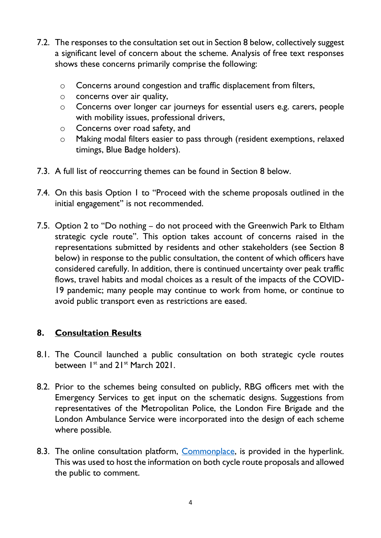- 7.2. The responses to the consultation set out in Section 8 below, collectively suggest a significant level of concern about the scheme. Analysis of free text responses shows these concerns primarily comprise the following:
	- o Concerns around congestion and traffic displacement from filters,
	- o concerns over air quality,
	- o Concerns over longer car journeys for essential users e.g. carers, people with mobility issues, professional drivers,
	- o Concerns over road safety, and
	- o Making modal filters easier to pass through (resident exemptions, relaxed timings, Blue Badge holders).
- 7.3. A full list of reoccurring themes can be found in Section 8 below.
- 7.4. On this basis Option 1 to "Proceed with the scheme proposals outlined in the initial engagement" is not recommended.
- 7.5. Option 2 to "Do nothing do not proceed with the Greenwich Park to Eltham strategic cycle route". This option takes account of concerns raised in the representations submitted by residents and other stakeholders (see Section 8 below) in response to the public consultation, the content of which officers have considered carefully. In addition, there is continued uncertainty over peak traffic flows, travel habits and modal choices as a result of the impacts of the COVID-19 pandemic; many people may continue to work from home, or continue to avoid public transport even as restrictions are eased.

### **8. Consultation Results**

- 8.1. The Council launched a public consultation on both strategic cycle routes between 1<sup>st</sup> and 21<sup>st</sup> March 2021.
- 8.2. Prior to the schemes being consulted on publicly, RBG officers met with the Emergency Services to get input on the schematic designs. Suggestions from representatives of the Metropolitan Police, the London Fire Brigade and the London Ambulance Service were incorporated into the design of each scheme where possible.
- 8.3. The online consultation platform, [Commonplace,](https://greenersafergreenwich.commonplace.is/) is provided in the hyperlink. This was used to host the information on both cycle route proposals and allowed the public to comment.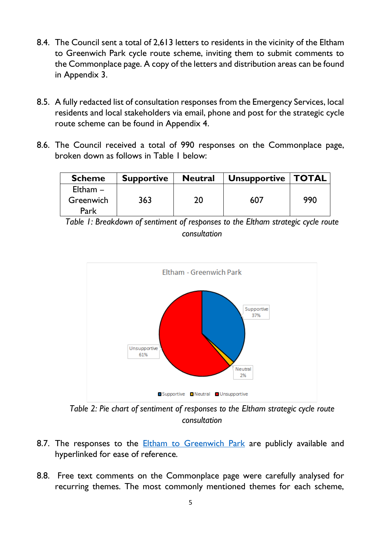- 8.4. The Council sent a total of 2,613 letters to residents in the vicinity of the Eltham to Greenwich Park cycle route scheme, inviting them to submit comments to the Commonplace page. A copy of the letters and distribution areas can be found in Appendix 3.
- 8.5. A fully redacted list of consultation responses from the Emergency Services, local residents and local stakeholders via email, phone and post for the strategic cycle route scheme can be found in Appendix 4.
- 8.6. The Council received a total of 990 responses on the Commonplace page, broken down as follows in Table 1 below:

| <b>Scheme</b> | <b>Supportive</b> | <b>Neutral</b> | <b>Unsupportive   TOTAL</b> |     |
|---------------|-------------------|----------------|-----------------------------|-----|
| Eltham $-$    |                   |                |                             |     |
| Greenwich     | 363               | 20             | 607                         | 990 |
| Park          |                   |                |                             |     |

*Table 1: Breakdown of sentiment of responses to the Eltham strategic cycle route consultation*



*Table 2: Pie chart of sentiment of responses to the Eltham strategic cycle route consultation*

- 8.7. The responses to the **[Eltham to Greenwich Park](https://greenersafergreenwich.commonplace.is/proposals/eltham-to-greenwich-park-strategic-cycle-route)** are publicly available and hyperlinked for ease of reference.
- 8.8. Free text comments on the Commonplace page were carefully analysed for recurring themes. The most commonly mentioned themes for each scheme,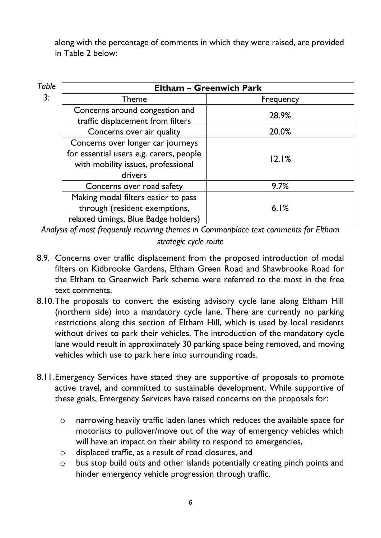along with the percentage of comments in which they were raised, are provided in Table 2 below:

| <b>Table</b> | <b>Eltham - Greenwich Park</b>          |           |  |
|--------------|-----------------------------------------|-----------|--|
| 3:           | Theme                                   | Frequency |  |
|              | Concerns around congestion and          | 28.9%     |  |
|              | traffic displacement from filters       |           |  |
|              | Concerns over air quality               | 20.0%     |  |
|              | Concerns over longer car journeys       |           |  |
|              | for essential users e.g. carers, people | 12.1%     |  |
|              | with mobility issues, professional      |           |  |
|              | drivers                                 |           |  |
|              | Concerns over road safety               | 9.7%      |  |
|              | Making modal filters easier to pass     |           |  |
|              | through (resident exemptions,           | 6.1%      |  |
|              | relaxed timings, Blue Badge holders)    |           |  |

*Analysis of most frequently recurring themes in Commonplace text comments for Eltham strategic cycle route*

- 8.9. Concerns over traffic displacement from the proposed introduction of modal filters on Kidbrooke Gardens, Eltham Green Road and Shawbrooke Road for the Eltham to Greenwich Park scheme were referred to the most in the free text comments.
- 8.10.The proposals to convert the existing advisory cycle lane along Eltham Hill (northern side) into a mandatory cycle lane. There are currently no parking restrictions along this section of Eltham Hill, which is used by local residents without drives to park their vehicles. The introduction of the mandatory cycle lane would result in approximately 30 parking space being removed, and moving vehicles which use to park here into surrounding roads.
- 8.11.Emergency Services have stated they are supportive of proposals to promote active travel, and committed to sustainable development. While supportive of these goals, Emergency Services have raised concerns on the proposals for:
	- o narrowing heavily traffic laden lanes which reduces the available space for motorists to pullover/move out of the way of emergency vehicles which will have an impact on their ability to respond to emergencies,
	- o displaced traffic, as a result of road closures, and
	- o bus stop build outs and other islands potentially creating pinch points and hinder emergency vehicle progression through traffic.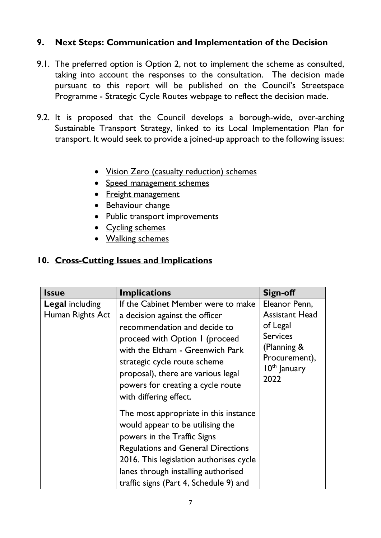### **9. Next Steps: Communication and Implementation of the Decision**

- 9.1. The preferred option is Option 2, not to implement the scheme as consulted, taking into account the responses to the consultation. The decision made pursuant to this report will be published on the Council's Streetspace Programme - Strategic Cycle Routes webpage to reflect the decision made.
- 9.2. It is proposed that the Council develops a borough-wide, over-arching Sustainable Transport Strategy, linked to its Local Implementation Plan for transport. It would seek to provide a joined-up approach to the following issues:
	- Vision Zero (casualty reduction) schemes
	- Speed management schemes
	- Freight management
	- Behaviour change
	- Public transport improvements
	- Cycling schemes
	- Walking schemes

### **10. Cross-Cutting Issues and Implications**

| <b>Issue</b>                               | <b>Implications</b>                                                                                                                                                                                                                                                                                             | Sign-off                                                                                                                        |
|--------------------------------------------|-----------------------------------------------------------------------------------------------------------------------------------------------------------------------------------------------------------------------------------------------------------------------------------------------------------------|---------------------------------------------------------------------------------------------------------------------------------|
| <b>Legal including</b><br>Human Rights Act | If the Cabinet Member were to make<br>a decision against the officer<br>recommendation and decide to<br>proceed with Option I (proceed<br>with the Eltham - Greenwich Park<br>strategic cycle route scheme<br>proposal), there are various legal<br>powers for creating a cycle route<br>with differing effect. | Eleanor Penn,<br><b>Assistant Head</b><br>of Legal<br><b>Services</b><br>(Planning &<br>Procurement),<br>$10th$ January<br>2022 |
|                                            | The most appropriate in this instance<br>would appear to be utilising the<br>powers in the Traffic Signs<br><b>Regulations and General Directions</b><br>2016. This legislation authorises cycle<br>lanes through installing authorised<br>traffic signs (Part 4, Schedule 9) and                               |                                                                                                                                 |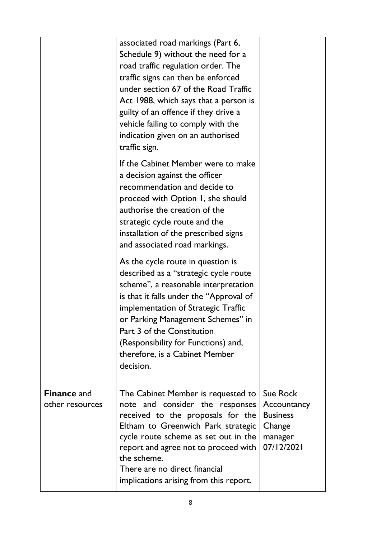|                                       | associated road markings (Part 6,<br>Schedule 9) without the need for a<br>road traffic regulation order. The<br>traffic signs can then be enforced<br>under section 67 of the Road Traffic<br>Act 1988, which says that a person is<br>guilty of an offence if they drive a<br>vehicle failing to comply with the<br>indication given on an authorised<br>traffic sign. |                                                                                      |
|---------------------------------------|--------------------------------------------------------------------------------------------------------------------------------------------------------------------------------------------------------------------------------------------------------------------------------------------------------------------------------------------------------------------------|--------------------------------------------------------------------------------------|
|                                       | If the Cabinet Member were to make<br>a decision against the officer<br>recommendation and decide to<br>proceed with Option 1, she should<br>authorise the creation of the<br>strategic cycle route and the<br>installation of the prescribed signs<br>and associated road markings.                                                                                     |                                                                                      |
|                                       | As the cycle route in question is<br>described as a "strategic cycle route<br>scheme", a reasonable interpretation<br>is that it falls under the "Approval of<br>implementation of Strategic Traffic<br>or Parking Management Schemes" in<br>Part 3 of the Constitution<br>(Responsibility for Functions) and,<br>therefore, is a Cabinet Member<br>decision.            |                                                                                      |
| <b>Finance and</b><br>other resources | The Cabinet Member is requested to<br>note and consider the responses<br>received to the proposals for the<br>Eltham to Greenwich Park strategic<br>cycle route scheme as set out in the<br>report and agree not to proceed with<br>the scheme.<br>There are no direct financial<br>implications arising from this report.                                               | <b>Sue Rock</b><br>Accountancy<br><b>Business</b><br>Change<br>manager<br>07/12/2021 |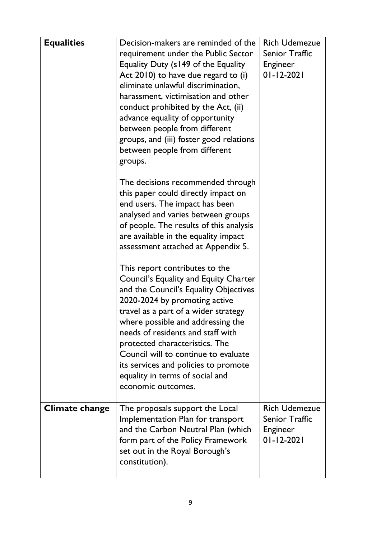| <b>Equalities</b> | Decision-makers are reminded of the<br>requirement under the Public Sector<br>Equality Duty (s149 of the Equality<br>Act 2010) to have due regard to (i)<br>eliminate unlawful discrimination,<br>harassment, victimisation and other<br>conduct prohibited by the Act, (ii)<br>advance equality of opportunity<br>between people from different<br>groups, and (iii) foster good relations<br>between people from different<br>groups.        | <b>Rich Udemezue</b><br><b>Senior Traffic</b><br>Engineer<br>$01 - 12 - 2021$ |
|-------------------|------------------------------------------------------------------------------------------------------------------------------------------------------------------------------------------------------------------------------------------------------------------------------------------------------------------------------------------------------------------------------------------------------------------------------------------------|-------------------------------------------------------------------------------|
|                   | The decisions recommended through<br>this paper could directly impact on<br>end users. The impact has been<br>analysed and varies between groups<br>of people. The results of this analysis<br>are available in the equality impact<br>assessment attached at Appendix 5.                                                                                                                                                                      |                                                                               |
|                   | This report contributes to the<br>Council's Equality and Equity Charter<br>and the Council's Equality Objectives<br>2020-2024 by promoting active<br>travel as a part of a wider strategy<br>where possible and addressing the<br>needs of residents and staff with<br>protected characteristics. The<br>Council will to continue to evaluate<br>its services and policies to promote<br>equality in terms of social and<br>economic outcomes. |                                                                               |
| Climate change    | The proposals support the Local<br>Implementation Plan for transport<br>and the Carbon Neutral Plan (which<br>form part of the Policy Framework<br>set out in the Royal Borough's<br>constitution).                                                                                                                                                                                                                                            | <b>Rich Udemezue</b><br>Senior Traffic<br>Engineer<br>$01 - 12 - 2021$        |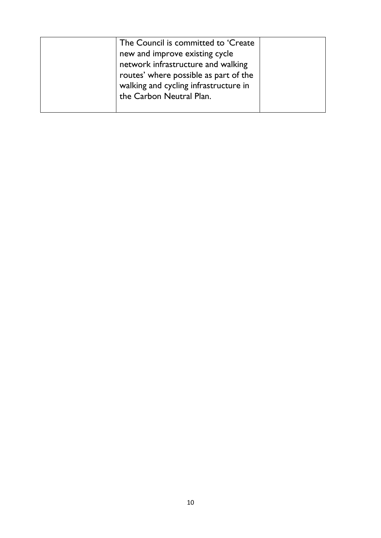| The Council is committed to 'Create   |  |
|---------------------------------------|--|
| new and improve existing cycle        |  |
| network infrastructure and walking    |  |
| routes' where possible as part of the |  |
| walking and cycling infrastructure in |  |
| the Carbon Neutral Plan.              |  |
|                                       |  |